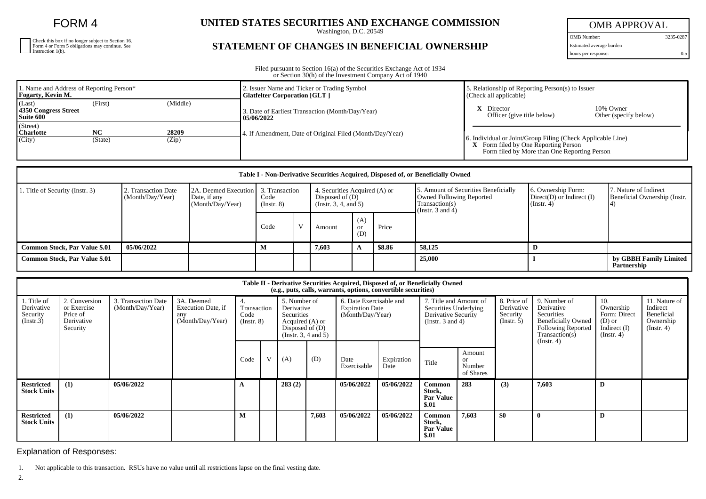FORM 4

| Check this box if no longer subject to Section 16.<br>Form 4 or Form 5 obligations may continue. See<br>Instruction 1(b). |
|---------------------------------------------------------------------------------------------------------------------------|
|                                                                                                                           |
|                                                                                                                           |

## **UNITED STATES SECURITIES AND EXCHANGE COMMISSION**

Washington, D.C. 20549

## **STATEMENT OF CHANGES IN BENEFICIAL OWNERSHIP**

OMB APPROVAL

OMB Number: 3235-0287 Estimated average burden hours per response: 0.5

Filed pursuant to Section 16(a) of the Securities Exchange Act of 1934 or Section 30(h) of the Investment Company Act of 1940

| 1. Name and Address of Reporting Person*<br><b>Fogarty, Kevin M.</b> |                     |                | 2. Issuer Name and Ticker or Trading Symbol<br><b>Glatfelter Corporation [GLT ]</b> | 5. Relationship of Reporting Person(s) to Issuer<br>$(C \text{heck} \text{ all applicable})$                                                        |                                    |  |  |
|----------------------------------------------------------------------|---------------------|----------------|-------------------------------------------------------------------------------------|-----------------------------------------------------------------------------------------------------------------------------------------------------|------------------------------------|--|--|
| (Last)<br>4350 Congress Street<br>Suite 600                          | (Middle)<br>(First) |                | 3. Date of Earliest Transaction (Month/Day/Year)<br>05/06/2022                      | Director<br>Officer (give title below)                                                                                                              | 10% Owner<br>Other (specify below) |  |  |
| (Street)<br><b>Charlotte</b><br>(City)                               | NC<br>(State)       | 28209<br>(Zip) | 4. If Amendment, Date of Original Filed (Month/Day/Year)                            | 6. Individual or Joint/Group Filing (Check Applicable Line)<br>X Form filed by One Reporting Person<br>Form filed by More than One Reporting Person |                                    |  |  |

| Table I - Non-Derivative Securities Acquired, Disposed of, or Beneficially Owned |                                         |                                                          |                                           |                                                                          |        |                  |                                                                                                             |                                                                         |                                                       |                                       |  |  |
|----------------------------------------------------------------------------------|-----------------------------------------|----------------------------------------------------------|-------------------------------------------|--------------------------------------------------------------------------|--------|------------------|-------------------------------------------------------------------------------------------------------------|-------------------------------------------------------------------------|-------------------------------------------------------|---------------------------------------|--|--|
| 1. Title of Security (Instr. 3)                                                  | 2. Transaction Date<br>(Month/Day/Year) | 2A. Deemed Execution<br>Date, if any<br>(Month/Day/Year) | 3. Transaction<br>Code<br>$($ Instr. $8)$ | 4. Securities Acquired (A) or<br>Disposed of (D)<br>(Instr. 3, 4, and 5) |        |                  | 5. Amount of Securities Beneficially<br>Owned Following Reported<br>Transaction(s)<br>(Instr. $3$ and $4$ ) | 6. Ownership Form:<br>$Direct(D)$ or Indirect $(I)$<br>$($ Instr. 4 $)$ | 7. Nature of Indirect<br>Beneficial Ownership (Instr. |                                       |  |  |
|                                                                                  |                                         |                                                          | Code                                      |                                                                          | Amount | (A)<br>or<br>(D) | Price                                                                                                       |                                                                         |                                                       |                                       |  |  |
| <b>Common Stock, Par Value \$.01</b>                                             | 05/06/2022                              |                                                          | м                                         |                                                                          | 7.603  |                  | \$8.86                                                                                                      | 58,125                                                                  |                                                       |                                       |  |  |
| <b>Common Stock, Par Value \$.01</b>                                             |                                         |                                                          |                                           |                                                                          |        |                  |                                                                                                             | 25,000                                                                  |                                                       | by GBBH Family Limited<br>Partnership |  |  |

| Table II - Derivative Securities Acquired, Disposed of, or Beneficially Owned<br>(e.g., puts, calls, warrants, options, convertible securities) |                                                                    |                                         |                                                             |                                              |  |                                                                                                         |       |                                                                       |                    |                                                                                                 |                                     |                                                      |                                                                                                                      |                                                                                    |                                                                          |
|-------------------------------------------------------------------------------------------------------------------------------------------------|--------------------------------------------------------------------|-----------------------------------------|-------------------------------------------------------------|----------------------------------------------|--|---------------------------------------------------------------------------------------------------------|-------|-----------------------------------------------------------------------|--------------------|-------------------------------------------------------------------------------------------------|-------------------------------------|------------------------------------------------------|----------------------------------------------------------------------------------------------------------------------|------------------------------------------------------------------------------------|--------------------------------------------------------------------------|
| 1. Title of<br>Derivative<br>Security<br>(Insert.3)                                                                                             | 2. Conversion<br>or Exercise<br>Price of<br>Derivative<br>Security | 3. Transaction Date<br>(Month/Day/Year) | 3A. Deemed<br>Execution Date, if<br>any<br>(Month/Day/Year) | 4.<br>Transaction<br>Code<br>$($ Instr. $8)$ |  | 5. Number of<br>Derivative<br>Securities<br>Acquired (A) or<br>Disposed of $(D)$<br>(Instr. 3, 4 and 5) |       | 6. Date Exercisable and<br><b>Expiration Date</b><br>(Month/Day/Year) |                    | 7. Title and Amount of<br>Securities Underlying<br>Derivative Security<br>(Instr. $3$ and $4$ ) |                                     | 8. Price of<br>Derivative<br>Security<br>(Insert. 5) | 9. Number of<br>Derivative<br>Securities<br><b>Beneficially Owned</b><br><b>Following Reported</b><br>Transaction(s) | 10.<br>Ownership<br>Form: Direct<br>$(D)$ or<br>Indirect $(I)$<br>$($ Instr. 4 $)$ | 11. Nature of<br>Indirect<br>Beneficial<br>Ownership<br>$($ Instr. 4 $)$ |
|                                                                                                                                                 |                                                                    |                                         |                                                             | Code                                         |  | (A)                                                                                                     | (D)   | Date<br>Exercisable                                                   | Expiration<br>Date | Title                                                                                           | Amount<br>or<br>Number<br>of Shares |                                                      | (Instr. 4)                                                                                                           |                                                                                    |                                                                          |
| <b>Restricted</b><br><b>Stock Units</b>                                                                                                         | (1)                                                                | 05/06/2022                              |                                                             |                                              |  | 283(2)                                                                                                  |       | 05/06/2022                                                            | 05/06/2022         | Common<br>Stock,<br><b>Par Value</b><br>\$.01                                                   | 283                                 | (3)                                                  | 7,603                                                                                                                | D                                                                                  |                                                                          |
| <b>Restricted</b><br><b>Stock Units</b>                                                                                                         | (1)                                                                | 05/06/2022                              |                                                             |                                              |  |                                                                                                         | 7,603 | 05/06/2022                                                            | 05/06/2022         | Common<br>Stock,<br><b>Par Value</b><br>\$.01                                                   | 7,603                               | \$0                                                  | $\mathbf{0}$                                                                                                         | D                                                                                  |                                                                          |

Explanation of Responses:

2.

<sup>1.</sup> Not applicable to this transaction. RSUs have no value until all restrictions lapse on the final vesting date.